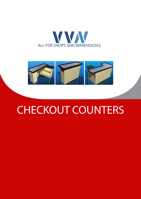



# CHECKOUT COUNTERS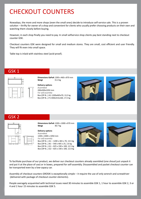# CHECKOUT COUNTERS

Nowadays, the more and more shops (even the small ones) decide to introduce self-service sale. This is a proven solution – thrifty for owner of a shop and convenient for clients who usually prefer choosing products on their own and watching them closely before buying.

However, in each shop finally you need to pay. In small selfservice shop clients pay best standing next to checkout counter GSK.

Checkout counters GSK were designed for small and medium stores. They are small, cost efficient and user friendly. They will fit even into small space.

Table top is inlaid with stainless steel (acid-proof).

# GSK 1



**Dimensions GxPxA** 1200 x 460 x 870 mm **Weigt** 31.4 kg

**Delivery options** *Assembled* 200x500x1050 mm *For self-assembly* Box (OP-B…) A1-1200x465x70, 13,5 kg Box (OP-B…) F1-830x315x160, 17,5 kg





# GSK 2



**Dimensions GxPxA** 1200 x 1000 x 870 mm Weigt 40.7 kg

#### **Delivery options**

*Assembled* 1200 x 1000 x 1050 mm *For self-assembly* Box (OP-B…) A1 – 1200 x 465 x 70, 13.5 kg Box (OP-B…) B1 – 540 x 405 x 25, 2.6 kg Box (OP-B…) G1 – 825 x 330 x 100, 12.5 kg Box (OP-B…) G2 – 825 x 330 x 100, 12.0 kg





To facilitate purchase of our product, we deliver our checkout counters already asembled (one shoud just unpack it and put it at the place of use) or in boxes, prepared for self-assembly. Dissasembled and packet checkout counter can be transported even by a low-capacy car.

Assembly of checkout counters GROSIK is exceptionally simple – it require the use of only wrench and screwdriver (delivered with package of checkout counter elements).

People averagely acquainted with technical issues need 30 minutes to assemble GSK 1, 1 hour to assemble GSK 2, 3 or 4 and 1 hour 15 minutes to assemble GSK 5.